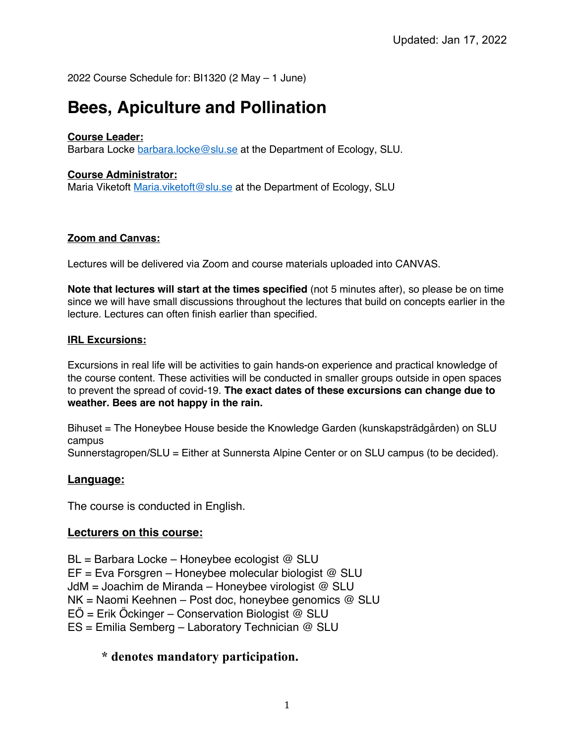2022 Course Schedule for: BI1320 (2 May – 1 June)

# **Bees, Apiculture and Pollination**

### **Course Leader:**

Barbara Locke barbara.locke@slu.se at the Department of Ecology, SLU.

#### **Course Administrator:**

Maria Viketoft Maria.viketoft@slu.se at the Department of Ecology, SLU

#### **Zoom and Canvas:**

Lectures will be delivered via Zoom and course materials uploaded into CANVAS.

**Note that lectures will start at the times specified** (not 5 minutes after), so please be on time since we will have small discussions throughout the lectures that build on concepts earlier in the lecture. Lectures can often finish earlier than specified.

#### **IRL Excursions:**

Excursions in real life will be activities to gain hands-on experience and practical knowledge of the course content. These activities will be conducted in smaller groups outside in open spaces to prevent the spread of covid-19. **The exact dates of these excursions can change due to weather. Bees are not happy in the rain.** 

Bihuset = The Honeybee House beside the Knowledge Garden (kunskapsträdgården) on SLU campus

Sunnerstagropen/SLU = Either at Sunnersta Alpine Center or on SLU campus (to be decided).

# **Language:**

The course is conducted in English.

# **Lecturers on this course:**

BL = Barbara Locke – Honeybee ecologist @ SLU EF = Eva Forsgren – Honeybee molecular biologist @ SLU JdM = Joachim de Miranda – Honeybee virologist @ SLU NK = Naomi Keehnen – Post doc, honeybee genomics @ SLU  $E\ddot{\rm O}$  = Erik Öckinger – Conservation Biologist @ SLU ES = Emilia Semberg – Laboratory Technician @ SLU

# **\* denotes mandatory participation.**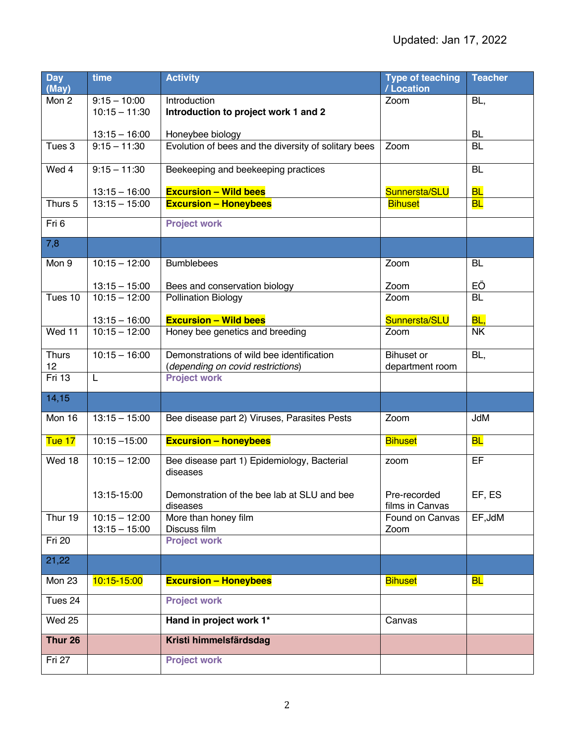| <b>Day</b><br>(May) | time            | <b>Activity</b>                                      | <b>Type of teaching</b><br>/Location | <b>Teacher</b> |
|---------------------|-----------------|------------------------------------------------------|--------------------------------------|----------------|
| Mon 2               | $9:15 - 10:00$  | Introduction                                         | Zoom                                 | BL,            |
|                     | $10:15 - 11:30$ | Introduction to project work 1 and 2                 |                                      |                |
|                     | $13:15 - 16:00$ | Honeybee biology                                     |                                      | <b>BL</b>      |
| Tues 3              | $9:15 - 11:30$  | Evolution of bees and the diversity of solitary bees | Zoom                                 | <b>BL</b>      |
|                     |                 |                                                      |                                      |                |
| Wed 4               | $9:15 - 11:30$  | Beekeeping and beekeeping practices                  |                                      | <b>BL</b>      |
|                     | $13:15 - 16:00$ | <b>Excursion - Wild bees</b>                         | Sunnersta/SLU                        | <b>BL</b>      |
| Thurs 5             | $13:15 - 15:00$ | <b>Excursion - Honeybees</b>                         | <b>Bihuset</b>                       | <b>BL</b>      |
| Fri 6               |                 | <b>Project work</b>                                  |                                      |                |
|                     |                 |                                                      |                                      |                |
| 7,8                 |                 |                                                      |                                      |                |
| Mon 9               | $10:15 - 12:00$ | <b>Bumblebees</b>                                    | Zoom                                 | BL             |
|                     | $13:15 - 15:00$ | Bees and conservation biology                        | Zoom                                 | EÖ             |
| Tues 10             | $10:15 - 12:00$ | <b>Pollination Biology</b>                           | Zoom                                 | <b>BL</b>      |
|                     |                 |                                                      |                                      |                |
|                     | $13:15 - 16:00$ | <b>Excursion - Wild bees</b>                         | Sunnersta/SLU                        | BL,            |
| Wed 11              | $10:15 - 12:00$ | Honey bee genetics and breeding                      | Zoom                                 | <b>NK</b>      |
| <b>Thurs</b>        | $10:15 - 16:00$ | Demonstrations of wild bee identification            | <b>Bihuset</b> or                    | BL,            |
| 12                  |                 | (depending on covid restrictions)                    | department room                      |                |
| Fri 13              | L               | <b>Project work</b>                                  |                                      |                |
| 14,15               |                 |                                                      |                                      |                |
| Mon 16              | $13:15 - 15:00$ | Bee disease part 2) Viruses, Parasites Pests         | Zoom                                 | JdM            |
| Tue 17              | $10:15 - 15:00$ | <b>Excursion - honeybees</b>                         | <b>Bihuset</b>                       | <b>BL</b>      |
| Wed 18              | $10:15 - 12:00$ | Bee disease part 1) Epidemiology, Bacterial          | zoom                                 | EF             |
|                     |                 | diseases                                             |                                      |                |
|                     | 13:15-15:00     | Demonstration of the bee lab at SLU and bee          | Pre-recorded                         | EF, ES         |
|                     |                 | diseases                                             | films in Canvas                      |                |
| Thur 19             | $10:15 - 12:00$ | More than honey film                                 | Found on Canvas                      | EF, JdM        |
| Fri 20              | $13:15 - 15:00$ | Discuss film<br><b>Project work</b>                  | Zoom                                 |                |
|                     |                 |                                                      |                                      |                |
| 21,22               |                 |                                                      |                                      |                |
| Mon 23              | 10:15-15:00     | <b>Excursion - Honeybees</b>                         | <b>Bihuset</b>                       | <b>BL</b>      |
| Tues 24             |                 | <b>Project work</b>                                  |                                      |                |
| Wed 25              |                 | Hand in project work 1*                              | Canvas                               |                |
| Thur 26             |                 | Kristi himmelsfärdsdag                               |                                      |                |
| Fri 27              |                 | <b>Project work</b>                                  |                                      |                |